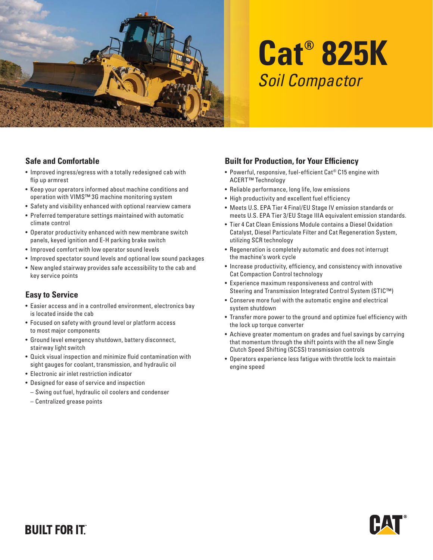

# **Cat® 825K** Soil Compactor

#### **Safe and Comfortable**

- Improved ingress/egress with a totally redesigned cab with flip up armrest
- Keep your operators informed about machine conditions and operation with VIMS™ 3G machine monitoring system
- Safety and visibility enhanced with optional rearview camera
- Preferred temperature settings maintained with automatic climate control
- Operator productivity enhanced with new membrane switch panels, keyed ignition and E-H parking brake switch
- Improved comfort with low operator sound levels
- Improved spectator sound levels and optional low sound packages
- New angled stairway provides safe accessibility to the cab and key service points

## **Easy to Service**

- Easier access and in a controlled environment, electronics bay is located inside the cab
- Focused on safety with ground level or platform access to most major components
- Ground level emergency shutdown, battery disconnect, stairway light switch
- Quick visual inspection and minimize fluid contamination with sight gauges for coolant, transmission, and hydraulic oil
- Electronic air inlet restriction indicator
- Designed for ease of service and inspection
- Swing out fuel, hydraulic oil coolers and condenser
- Centralized grease points

## **Built for Production, for Your Efficiency**

- Powerful, responsive, fuel-efficient Cat® C15 engine with ACERT™ Technology
- Reliable performance, long life, low emissions
- High productivity and excellent fuel efficiency
- Meets U.S. EPA Tier 4 Final/EU Stage IV emission standards or meets U.S. EPA Tier 3/EU Stage IIIA equivalent emission standards.
- Tier 4 Cat Clean Emissions Module contains a Diesel Oxidation Catalyst, Diesel Particulate Filter and Cat Regeneration System, utilizing SCR technology
- Regeneration is completely automatic and does not interrupt the machine's work cycle
- Increase productivity, efficiency, and consistency with innovative Cat Compaction Control technology
- Experience maximum responsiveness and control with Steering and Transmission Integrated Control System (STIC™)
- Conserve more fuel with the automatic engine and electrical system shutdown
- Transfer more power to the ground and optimize fuel efficiency with the lock up torque converter
- Achieve greater momentum on grades and fuel savings by carrying that momentum through the shift points with the all new Single Clutch Speed Shifting (SCSS) transmission controls
- Operators experience less fatigue with throttle lock to maintain engine speed